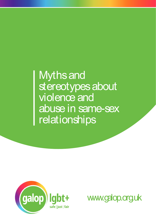## Myths and stereotypes about violence and abuse in same-sex relationships



www.galop.org.uk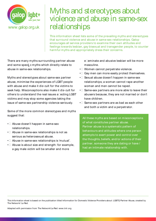

## Myths and stereotypes about violence and abuse in same-sex www.galop.org.uk | relationships **and some specifical some specifical some specifical some specifical some control of the prevailing that surround violence and abuse in same-sex relationships.**<br>This information sheet lists some of the prevailing that surr

This information sheet lists some of the prevailing myths and stereotypes that surround violence and abuse in same-sex relationships. Galop encourages all service providers to examine their own attitudes and feelings towards lesbian, gay bisexual and transgender people, to counter harmful myths and appropriately dress their concerns.

There are many myths surrounding partner abuse abuse in same-sex relationships.

Myths and stereotypes about same-sex partner abuse, minimise the experiences of LGBT people With a site just lair<br>
with galop, org.uk<br>
This information sheet lists some of the prevailing myths and<br>
that surround victims of the prevailing myths and<br>
encourages all service providers to examine their own attitu<br>
fe seek help. Miss information sheet lists some of the prevailing myths and stereotypes<br>that surround violence and abuse in same-sex relationships. Galop<br>encourages all service providers to examine their own attitudes and<br>fe others to understand the real issues a ecting LGBT victims and may stop some agencies taking the issue of same-sex partnership violence seriously.

Some of the more common stereotypes and myths suggest that:

- $\cdot$  Abuse doesn't happen in same-sex relationships.
- $\cdot$  Abuse in same-sex relationships is not as serious as heterosexual abuse.
- $\bullet$   $\Box$  Abuse in same-sex relationships is 'mutual'.
- $\bullet$   $\Box$  Abuse is about size and strength: for example, a gay male victim will be smaller and more

 $e$  eminate and abusive lesbian will be more masculine.

- Women cannot perpetrate violence.
- $\cdot$  Gay men can more easily protect themselves.
- $\cdot$  Sexual abuse doesn't happen in same-sex relationships; a woman cannot rape another woman and men cannot be raped.
- $\cdot$  Same-sex partners are more able to leave their abusers because, they are not married or don't have children.
- $\cdot \Box$  Same-sex partners are as bad as each other and both a victim and a perpetrator.

You call the police following a physical attack All these myths are based on misconceptions  $\begin{bmatrix} 1 & 0 \\ 0 & 1 \end{bmatrix}$  $\rho$  of what constitutes partner abuse. Partner abuse is a systematic pattern of the abuse is a systematic pattern of  $\begin{array}{|c|c|}\hline \text{behaviours and attitudes where one person}\hline \end{array}$  $\blacksquare$  attempts to exert power and control over  $\begin{array}{|c|c|}\hline \text{the thoughts, beliefs, and/or actions of their}\ \hline \end{array}$ partner, someone they are dating or have /  $\qquad \qquad$  $\begin{array}{|c|c|c|}\hline \text{had an intimate relationship with.} \hline \end{array}$ 

This Information sheet is based on the publication titled Information for Domestic Violence Providers about: LGBTQ Partner Abuse, created by The Network/ La Red.

Adapted with permission from The Network/La Red: www.tnlr.org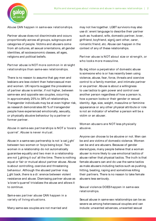

Partner abuse does not discriminate and occurs proportionally across all groups, subgroups and categories of people. Victims and abusers come from all cultures, all sexual orientations, all gender identities, all socioeconomic classes, all ages, religions and political beliefs. Myths and stereotypes about violence and abuse in same-sex relationships | 2<br>
Abuse CAN happen in same-sex relationships. may not live together. LGBT survivors may also<br>
Partner abuse does not discriminate and occurs<br>
Part Myths and stereotypes about violence and abuse in same-sex relationship<br>
Abuse CAN happen in same-sex relationships. way not live together. LGBT survivors may als<br>
use di∟erent language to describe their partner<br>
proportio

There is no reason to assume that gay men and lesbians are less violent than heterosexual men and women. UK reports suggest the prevalence of partner abuse is similar, if not higher, between same-sex and opposite sex couples, occurring in approximately 25% to 38% of relationships. Transgender individuals may be at even higher risk, as research demonstrates 80 % of transgender people have experienced emotionally, sexually, or physically abusive behaviour by a partner or former partner. Partner abuse is NOT more common in straight<br>
relationships than same-sex relationships.<br>
By del nition a perpetrator of dome<br>
is someone who is or has recently t<br>
There is no reason to assume that gay men and<br>
is someone Partner abuse is NOT more common in straight<br>
relationships than same-sex relationships. By del nition a perpetrator of domestic is someone who is or has recently been<br>
There is no reason to assume that gay men and<br>
violen If someone who is or has recently been using<br>
is someone who is or has recently been using<br>
desbians are less violent than heterosexual men<br>
control to a family member, and intimate partner<br>
and women. UKreports suggest th

between two women or 'boys being boys'. Two women in a relationship do not automatically guarantee equality and two men in a relationship of partner abuse is similar, if not higher, between<br>
same-sex and opposite sex couples, occurring<br>
in approximately 25% to 38% of relationships.<br>
Transgender individuals may be at even higher risk, identity. Age, size, we<br> equal or fair or mutual about partner abuse. Abuse is about controlling, coercive and threatening behaviour. Although the abused partner may as research demonstrates 80 % of transgender<br>
people have experienced emotionally, sexually, is not an incor<br>
physically abusive behaviour by a partner or<br>
former partner.<br>
Abuse in same-sex partnerships is NOT a 'lovers resistance and abuse. Dismissing partner abuse as 'a lover's quarrel' trivializes the abuse and allows it to continue. Abuse in same-sex partnerships is NOT a 'lovers abusive.<br>
quarrel'. Abuse is never mutual.<br>
Anyone can choose to be<br>
Abuse in a same-sex partnership is not 'a cat l ght' be and are victims of dom<br>
between two women or 'bo quarrel'. Abuse is never mutual.<br>
Anyone can choose to be abusive<br>
Abuse in a same-sex partnership is not 'a cat L<sub>s</sub>ght' be and are victims of domestic vic<br>
between two women or boys being boys'. Two can be and are abuser

Myths and stereotypes about violence and abuse in same-sex relationships.<br>
Abuse CAN happen in same-sex relationships.<br>
Abuse CAN happen in same-sex relationships.<br>
The different language to describe their partner<br>
Partner may not live together. LGBT survivors may also  $use$  di $\square$ erent language to describe their partner such as: husband, wife, domestic partner, lover, girlfriend, boyfriend, signil, signing the particular particular particular particular particular and the different language to describe their partner such as: husband, wife, domestic partner, lover, girlfriend, boyfriend romantic friend, etc. Abuse can happen in the context of any of these relationships. es about violence and abuse in same-sex relationships | 2<br>
<br>
<br>
<br>
<br> **Part nerally about the increase of Cartical**<br>
<br>
<br>
<br>
<br>
<br> **Part nerally bout size or strength, or about size or strength, or<br>
<br>
<br>
<br>
<br>
<br>
<br>
<br>
<br>
<br>
<br>
<br>
<br>
<br>
<br>
<br>** who sabout violence and abuse in same-sex relationships | 2<br>
who same set in the set of their partner<br>
such as: husband, wife, domestic partner, lover,<br>
girlfriend, boyfriend, signil, cant other, carer,<br>
romantic friend, s about violence and abuse in same-sex relationships | 2<br>
<br>
<br>
may not live together. LGBT survivors may also<br>
use di⊡erent language to describe their partner<br>
such as: husband, wife, domestic partner, lover,<br>
girlfriend,

is someone who is or has recently been using violence, abuse, fear, force, threats and coercive control to a family member, and intimate partner or ex-partner. Abuse is about a willingness to use tactics to gain power and control over another person regardless of how a person is, how a person looks or their gender or sexual identity. Age, size, weight, masculine or feminine appearance or any other physical attribute or role is not an indicator of whether a person will be a victim or an abuser. Partner abuse is NOT about size or strength, or<br>who looks more masculine.<br>By del nition a perpetrator of domestic abuse<br>is someone who is or has recently been using<br>violence, abuse, fear, force, threats and coercive<br>contro

abusive.

Anyone can choose to be abusive or not. Men can be and are victims of domestic violence. Women can be and are abusers. Because of gender stereotypes, many people believe that a woman abuser is more likely to use emotional tactics of abuse rather that physical tactics. The truth is that female abusers can and do use the same tactics as male abusers including tactics such as pushing, hitting, beating, raping and sometimes killing their partners. There is no reason to take female abusers less seriously. Women abusers are NOT less physically<br>abusive.<br>Anyone can choose to be abusive or not. Men can<br>be and are victims of domestic violence. Women<br>can be and are abusers. Because of gender<br>stereotypes, many people believe that Women abusers are NOT less physically<br>abusive.<br>Anyone can choose to be abusive or not. Men can<br>be and are victims of domestic violence. Women<br>can be and are victims of domestic violence. Women<br>scan be and are abusers. Beca

Sexual abuse in same-sex relationships can be as severe as among heterosexual couples and can include: unwanted advances, unwanted sexual

Many same-sex couples are not married and